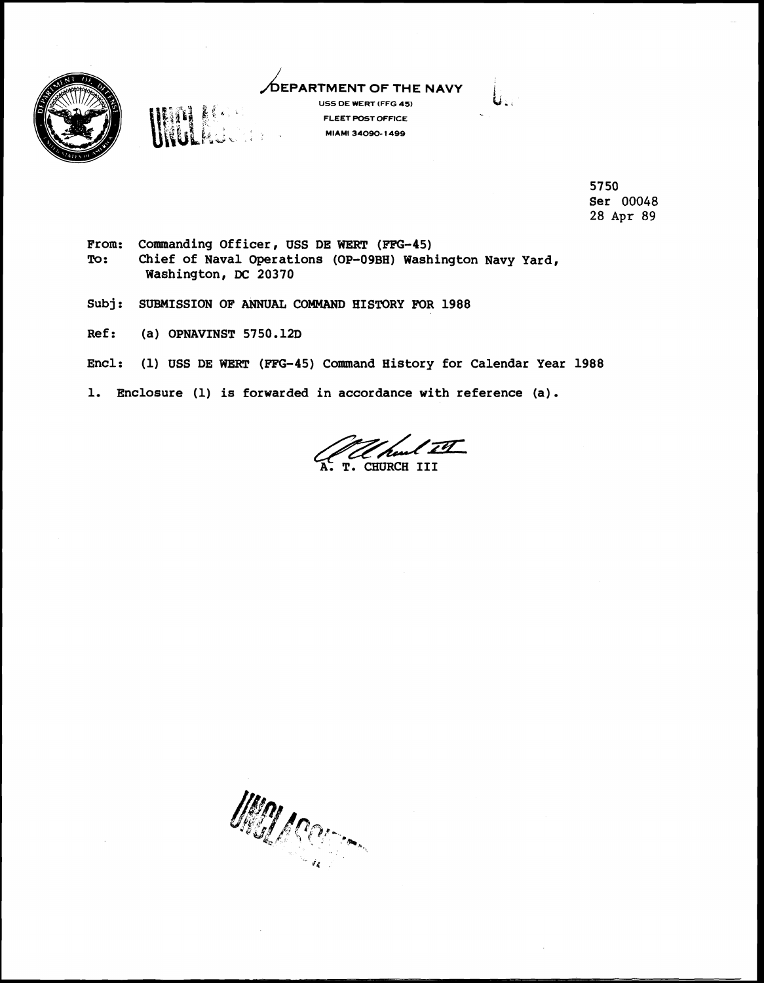

## **USE DARTMENT OF THE NAVY**<br>USS DE WERT (FFG 45)



**FLEET POST OFFICE MIAMI 34090- 1499** 

> **57 50 Ser 00048 28 Apr 89**

- From: Commanding Officer, USS DE WERT (FFG-45) **To: Chief of Naval Operations (OP-O9BH) Washington Navy Yard, Washington, DC 20370**
- **Subj: SUBMISSION OF ANNUAL COMMAND HISTORY FOR 1988**
- **Ref** : **(a) OPNAVINST 5750.12D**
- **Encl: (1) USS DE WERT (FFG45) Command History for Calendar Year 1988**
- **1. Enclosure (1) is forwarded in accordance with reference (a).**

**Command History for Calendar Year**<br>in accordance with reference (a).<br>A. T. CHURCH III<br>A. T. CHURCH III

**Kaper Communication**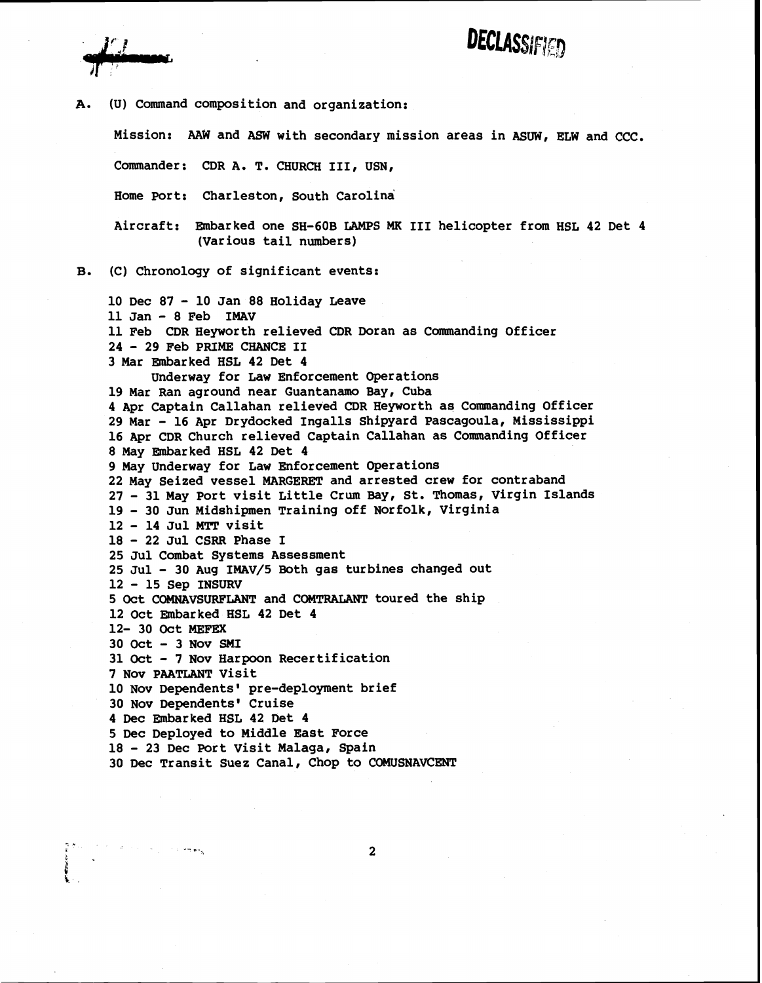**A. (U) Command composition and organization:** 

**Mission: AAW and ASW with secondary mission areas in ASUW, ELW and CCC.** 

**DECLASSIFIED** 

**Commander: CDR A. T. CHURCH 111, USN,** 

**Home Port: Charleston, South Carolina** 

**Aircraft: Embarked one SH-COB LAMPS MK I11 helicopter from HSL 42 Det 4 (Various tail numbers)** 

**B. (C) Chronology of significant events:** 

**10 Dec 87** - **10 Jan 88 Holiday Leave 11 Jan** - **8 Feb IMAV 11 Feb CDR Heyworth relieved CDR Doran as Canananding Officer <sup>24</sup>**- **29 Feb PRIME CHANCE I1**  3 Mar Embarked HSL 42 Det 4 **Underway for Law Enforcement Operations 19 Mar Ran aground near Guantanamo Bay, Cuba 4 Apr Captain Callahan relieved CDR Heyworth as Commanding Officer 29 Mar** - **16 Apr Drydocked Ingalls Shipyard Pascagoula, Mississippi 16 Apr CDR Church relieved Captain Callahan as Commanding Officer 8 May Embarked HSL 42 Det 4 9 May Underway for Law Enforcement Operations 22 May Seized vessel MARGERET and arrested crew for contraband <sup>27</sup>**- **31 May Port visit Little Crum Bay, St. Thomas, Virgin Islands <sup>19</sup>**- **30 Jun Midshipmen Training off Norfolk, Virginia <sup>12</sup>**- **14 Jul Mm visit <sup>18</sup>**- **22 Jul CSRR Phase I 25 Jul Combat Systems Assessment 25 Jul** - **30 Aug IMAV/5 Both gas turbines changed out <sup>12</sup>**- **15 Sep INSURV 5 Oct COMNAVSURFLANT and COMTRALANT toured the ship 12 Oct Embarked HSL 42 Det 4 12- 30 Oct MEFEX 30 Oct** - **3 Nov SMI 31 Oct** - **7 Nov Harpoon Recertification 7 Nov PAATLANT Visit**  10 Nov Dependents' pre-deployment brief **30 Nov Dependents' Cruise 4 Dec Embarked HSL 42 Det 4 5 Dec Deployed to Middle East Force <sup>18</sup>**- **23 Dec Port Visit Malaga, Spain 30 Dec Transit Suez Canal, Chop to COMUSNAVCENT** 

 $\mathbf{2}$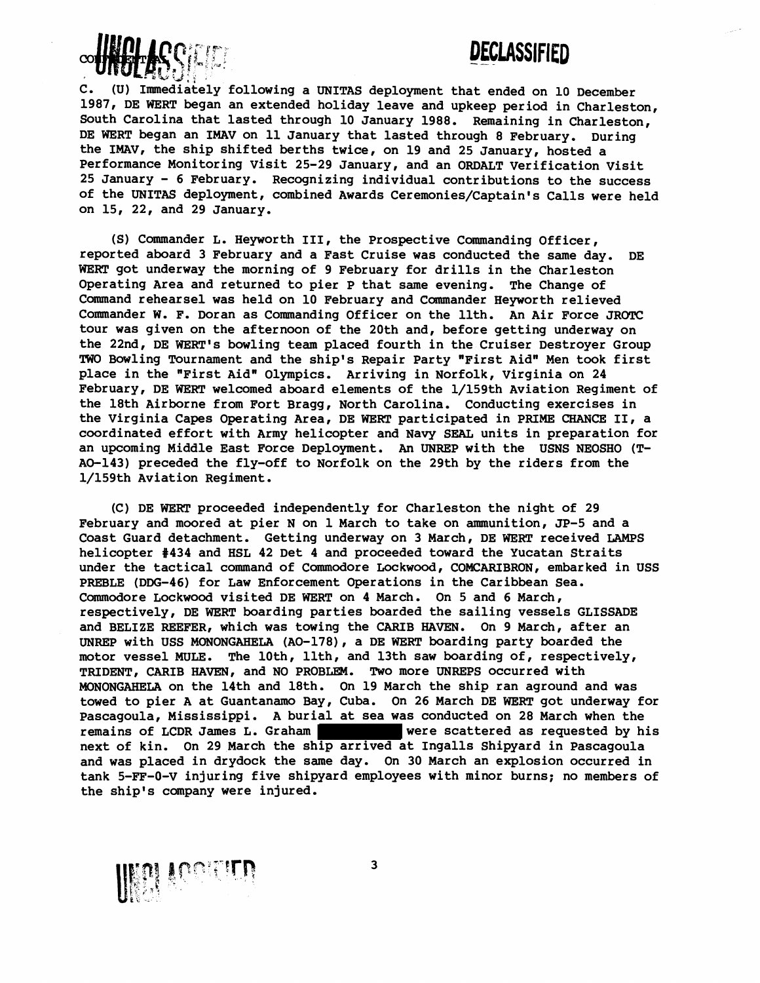## DECLASSIFIED



C. (U) Immediately following a UNITAS deployment that ended on 10 December 1987, DE WERT began an extended holiday leave and upkeep period in Charleston, South Carolina that lasted through 10 January 1988. Remaining in Charleston, DE WERT began an IMAV on 11 January that lasted through 8 February. During the IMAv, the ship shifted berths twice, on 19 and 25 January, hosted a Performance Monitoring Visit 25-29 January, and an ORDALT Verification Visit 25 January - 6 February. Recognizing individual contributions to the success of the UNITAS deployment, combined Awards Ceremonies/Captain's Calls were held on 15, 22, and 29 January.

(S) Commander L. Heyworth III, the Prospective Commanding Officer,<br>reported aboard 3 February and a Fast Cruise was conducted the same day. DE WERT got underway the morning of 9 February for drills in the Charleston Operating Area and returned to pier P that same evening. The Change of Command rehearse1 was held on 10 February and Commander Heyworth relieved Commander W. F. Doran as Commanding Officer on the 11th. An Air Force JROTC tour was given on the afternoon of the 20th and, before getting underway on the 22nd, DE WERT's bowling team placed fourth in the Cruiser Destroyer Group TWO Bowling Tournament and the ship's Repair Party "First Aid" Men took first place in the "First Aid" Olympics. Arriving in Norfolk, Virginia on 24 February, DE WERT welcomed aboard elements of the 1/159th Aviation Regiment of the 18th Airborne from Fort Bragg, North Carolina. Conducting exercises in the Virginia Capes Operating Area, DE WERT participated in PRIME CHANCE II, a coordinated effort with Army helicopter and Navy SEZiL units in preparation for an upcoming Middle East Force Deployment. An UNREP with the USNS NEOSHO (T-AO-143) preceded the fly-off to Norfolk on the 29th by the riders from the 1/159th Aviation Regiment.

(C) DE WERT proceeded independently for Charleston the night of 29 February and moored at pier N on 1March to take on ammunition, JP-5 and a Coast Guard detachment. Getting underway on 3 March, DE WERT received LAMPS helicopter #434 and HSL 42 Det 4 and proceeded toward the Yucatan Straits under the tactical command of Commodore Lockwood, COMCARIBRON, embarked in USS PREBLE (DDG-46) for Law Enforcement Operations in the Caribbean Sea. Commodore Lockwood visited DE WERT on 4 March. On 5 and 6 March, respectively, DE WERT boarding parties boarded the sailing vessels GLISSADE and BELIZE REEFER, which was towing the CARIB HAVEN. On 9 March, after an UNREP with USS MONONGAHELA (AO-178), a DE WERT boarding party boarded the motor vessel MULE. The 10th, 11th, and 13th saw boarding of, respectively, TRIDENT, CARIB HAVEN, and NO PROBLEM. Two more UNREPS occurred with MONONGAHELA on the 14th and 18th. On 19 March the ship ran aground and was towed to pier A at Guantanamo Bay, Cuba. On 26 March DE WERT got underway for Pascagoula, Mississippi. **A** burial at sea was conducted on 28 March when the remains of LCDR James L. Graham were scattered as requested by his next of kin. On 29 March the ship arrived at Ingalls Shipyard in Pascagoula and was placed in drydock the same day. On 30 March an explosion occurred in tank 5-FF-0-V injuring five shipyard employees with minor burns; no members of the ship's company were injured.

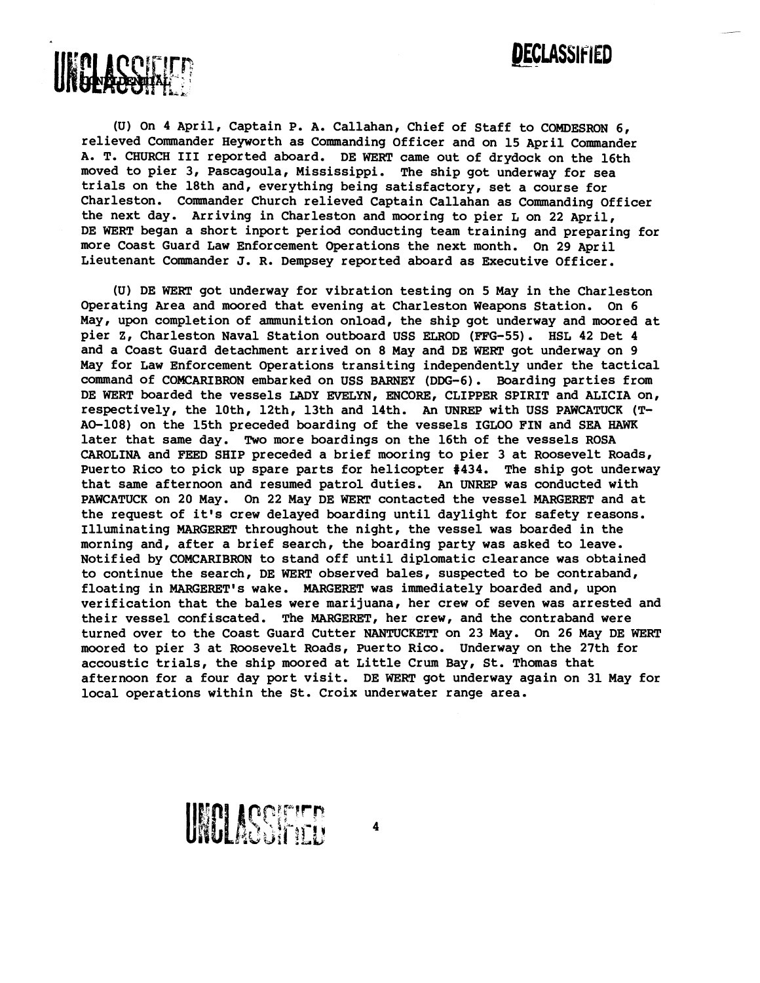

**(U) On 4 April, Captain P. A. Callahan, Chief of Staff to COMDESRON 6,**  relieved Commander Heyworth as Commanding Officer and on 15 April Commander **A. T. CHURCH I11 reported aboard. DE WERT came out of drydock on the 16th moved to pier 3, Pascagoula, Mississippi. The ship got underway for sea trials on the 18th and, everything being satisfactory, set a course for Charleston. Commander Church relieved Captain Callahan as Commanding Officer the next day. Arriving in Charleston and mooring to pier L on 22 April, DE WERT began a short inport period conducting team training and preparing for more Coast Guard Law Enforcement Operations the next month. On 29 April**  Lieutenant Commander J. R. Dempsey reported aboard as Executive Officer.

**(U) DE WERT got underway for vibration testing on 5 May in the Charleston Operating Area and moored that evening at Charleston Weapons Station. On 6 May, upon completion of ammunition onload, the ship got underway and moored at**  pier Z, Charleston Naval Station outboard USS ELROD (FFG-55). HSL 42 Det 4 **and a Coast Guard detachment arrived on 8 May and DE WERT got underway on 9 May for Law Enforcement Operations transiting independently under the tactical command of COMCARIBRON embarked on USS BARNEY (DDG-6). Boarding parties from DE WERT boarded the vessels LADY EVELYN, ENCORE, CLIPPER SPIRIT and ALICIA on, respectively, the loth, 12th, 13th and 14th. An UNREP with USS PAWCATUCK (T-AO-108) on the 15th preceded boarding of the vessels IGLOO FIN and SEA HAWK later that same day. Two more boardings on the 16th of the vessels ROSA CAROLINA and FEED SHIP preceded a brief mooring to pier 3 at Roosevelt Roads, Puerto Rico to pick up spare parts for helicopter #434. The ship got underway that same afternoon and resumed patrol duties. An UNREP was conducted with PAWCATUCK on 20 May. On 22 May DE WERT contacted the vessel MARGERET and at the request of it's crew delayed boarding until daylight for safety reasons. Illuminating MARGERET throughout the night, the vessel was boarded in the morning and, after a brief search, the boarding party was asked to leave. Notified by COMCARIBRON to stand off until diplomatic clearance was obtained to continue the search, DE WERT observed bales, suspected to be contraband, floating in MARGERET1s wake. MARGERET was immediately boarded and, upon verification that the bales were marijuana, her crew of seven was arrested and their vessel confiscated. The MARGERET, her crew, and the contraband were turned over to the Coast Guard Cutter NANTUCKETT on 23 May. On 26 May DE WERT moored to pier 3 at Roosevelt Roads, Puerto Rico. Underway on the 27th for accoustic trials, the ship moored at Little Crum Bay, St. Thomas that afternoon for a four day port visit. DE WERT got underway again on 31May for local operations within the St. Croix underwater range area.** 

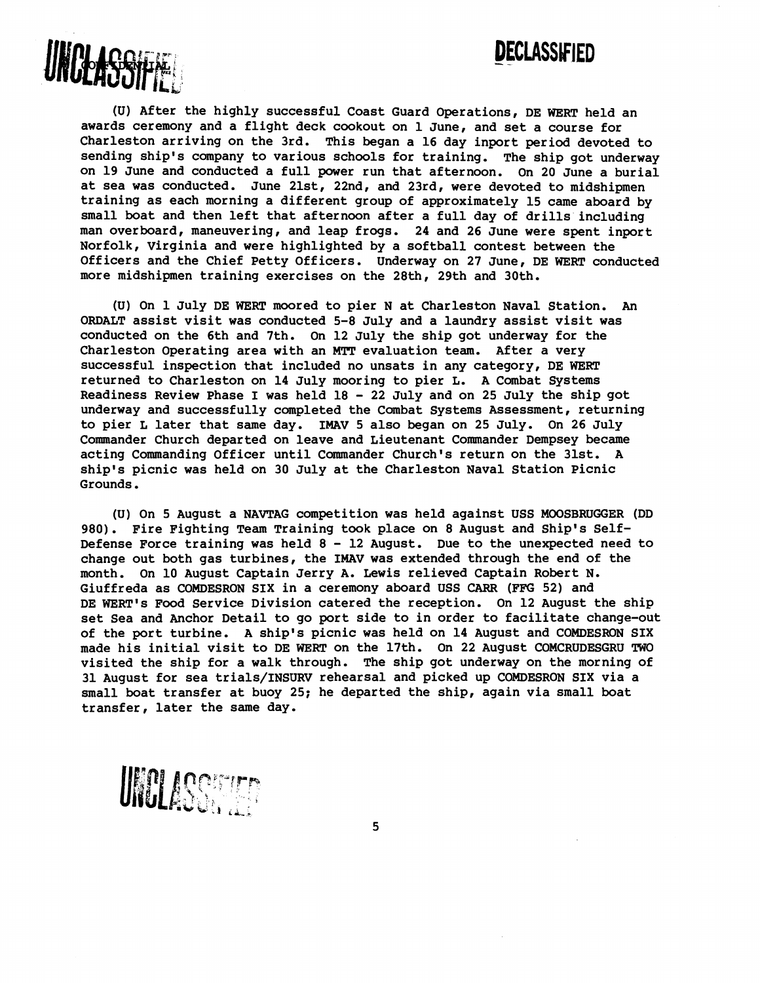



**(U) After the highly successful Coast Guard Operations, DE WERT held an awards ceremony and a flight deck cookout on 1 June, and set a course for Charleston arriving on the 3rd. This began a 16 day inport period devoted to sending ship's company to various schools for training. The ship got underway on 19 June and conducted a full power run that afternoon. On 20 June a burial at sea was conducted. June 21st, 22nd, and 23rd, were devoted to midshipmen training as each morning a different group of approximately 15 came aboard by small boat and then left that afternoon after a full day of drills including man overboard, maneuvering, and leap frogs. 24 and 26 June were spent inport Norfolk, Virginia and were highlighted by a softball contest between the Officers and the Chief Petty Officers. Underway on 27 June, DE WERT conducted more midshipmen training exercises on the 28th, 29th and 30th.** 

**(U) On 1 July DE WERT moored to pier N at Charleston Naval Station. An ORDALT assist visit was conducted 5-8 July and a laundry assist visit was conducted on the 6th and 7th. On 12 July the ship got underway for the Charleston Operating area with an MTT evaluation team. After a very successful inspection that included no unsats in any category, DE WERT returned to Charleston on 14 July mooring to pier L. A Combat Systems Readiness Review Phase I was held 18** - **22 July and on 25 July the ship got underway and successfully completed the Combat Systems Assessment, returning to pier L later that same day. IMAV 5 also began on 25 July. On 26 July Commander Church departed on leave and Lieutenant Commander Dempsey became acting Commanding Officer until Cmander Church's return on the 31st. A ship's picnic was held on 30 July at the Charleston Naval Station Picnic Grounds.** 

**(U) On 5 August a NAVTAG competition was held against USS MOOSBRUGGER (DD 980). Fire Fighting Team Training took place on 8 August and Ship's Self-Defense Force training was held 8** - **12 August. Due to the unexpected need to change out both gas turbines, the IMAV was extended through the end of the month. On 10 August Captain Jerry A. Lewis relieved Captain Robert N. Giuffreda as COMDESRON SIX in a ceremony aboard USS CARR (FFG 52) and**  DE WERT's Food Service Division catered the reception. On 12 August the ship **set Sea and Anchor Detail to go port side to in order to facilitate change-out of the port turbine. A ship's picnic was held on 14 August and COMDESRON SIX made his initial visit to DE WERT on the 17th. On 22 August COMCRUDESGRU** TWO **visited the ship for a walk through. The ship got underway on the morning of 31 August for sea trials/INSURV rehearsal and picked up COMDESRON SIX via a small boat transfer at buoy 25; he departed the ship, again via small boat transfer, later the same day.** 

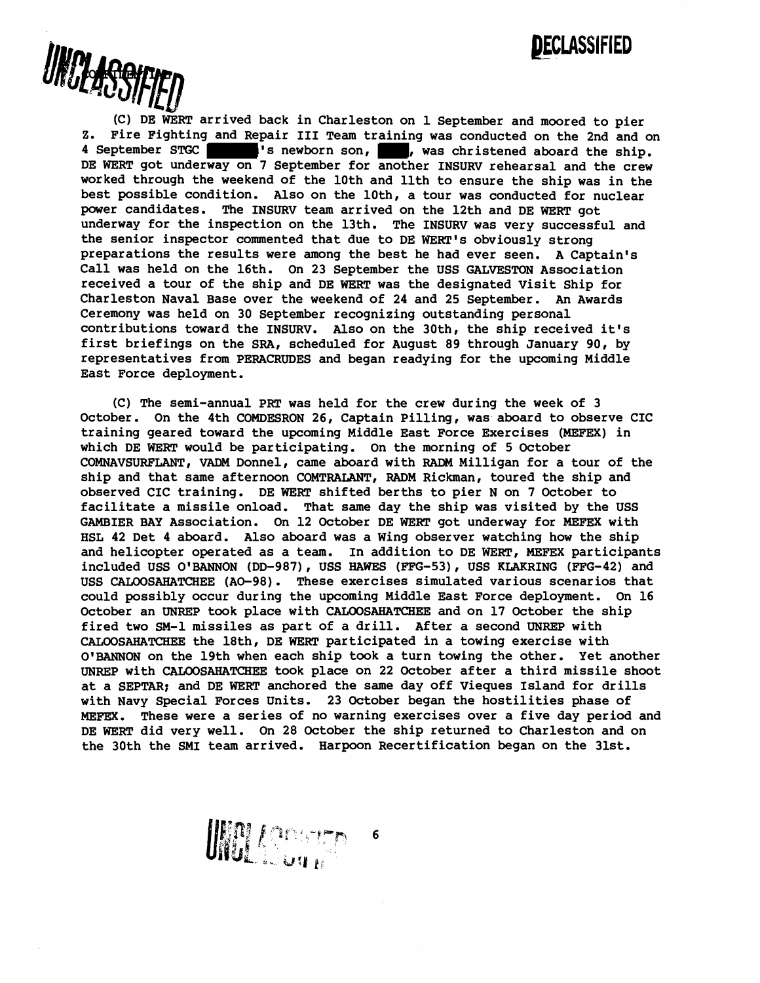

(C) DE WERT arrived back in Charleston on 1 September and moored to pier **Z. Fire Fighting and Repair I11 Team training was conducted on the 2nd and on**  4 September STGC **TERM**'s newborn son, was christened aboard the ship. **DE WERT got underway on 7 September for another INSURV rehearsal and the crew worked through the weekend of the 10th and 11th to ensure the ship was in the best possible condition. Also on the loth, a tour was conducted for nuclear power candidates. The INSURV team arrived on the 12th and DE WERT got underway for the inspection on the 13th. The INSURV was very successful and the senior inspector commented that due to DE WERT's obviously strong preparations the results were among the best he had ever seen. A Captain's Call was held on the 16th. On 23 September the USS GALVESTON Association received a tour of the ship and DE WERT was the designated Visit Ship for Charleston Naval Base over the weekend of 24 and 25 September. An Awards Ceremony was held on 30 September recognizing outstanding personal contributions toward the INSURV. Also on the 30th, the ship received it's first briefings on the SRA, scheduled for August 89 through January 90, by representatives from PERACRUDES and began readying for the upcoming Middle East Force deployment.** 

**(C) The semi-annual PRT was held for the crew during the week of 3 October. On the 4th COMDESRON 26, Captain Pilling, was aboard to observe CIC training geared toward the upcoming Middle East Force Exercises (MEFEX) in which DE WERT would be participating. On the morning of 5 October COMNAVSURFLANT, VADM Donnel, came aboard with RADM Milligan for a tour of the ship and that same afternoon COMTRALANT, RADM Rickman, toured the ship and observed CIC training. DE WERT shifted berths to pier N on 7 October to facilitate a missile onload. That same day the ship was visited by the USS GAMBIER BAY Association. On 12 October DE WERT got underway for MEFEX with HSL 42 Det 4 aboard. Also aboard was a Wing observer watching how the ship and helicopter operated as a team. In addition to DE WERT, MEFEX participants**  included USS O'BANNON (DD-987), USS HAWES (FFG-53), USS KLAKRING (FFG-42) and **USS CALOOSAHATCHEE (AO-98). These exercises simulated various scenarios that could possibly occur during the upcoming Middle East Force deployment. On 16 October an** UNREP **took place with CALOOSAHATCHEE and on 17 October the ship fired two SM-1 missiles as part of a drill. After a second** UNREP **with CALOOSAHATCHEE the 18th, DE WERT participated in a towing exercise with O'BANNON on the 19th when each ship took a turn towing the other. Yet another UNREP with CALOOSAHATCHEE took place on 22 October after a third missile shoot at a SEPTAR; and DE WERT anchored the same day off Vieques Island for drills with Navy Special Forces Units. 23 October began the hostilities phase of MEFEX. These were a series of no warning exercises over a five day period and DE WERT did very well. On 28 October the ship returned to Charleston and on the 30th the SMI team arrived. Harpoon Recertification began on the 31st.** 

 $6\phantom{1}6$ 

UNGLACOM PO